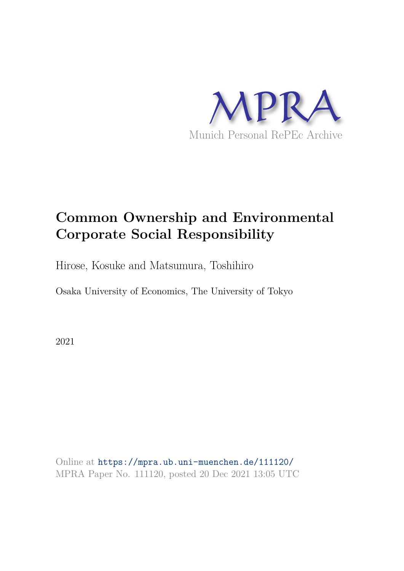

# **Common Ownership and Environmental Corporate Social Responsibility**

Hirose, Kosuke and Matsumura, Toshihiro

Osaka University of Economics, The University of Tokyo

2021

Online at https://mpra.ub.uni-muenchen.de/111120/ MPRA Paper No. 111120, posted 20 Dec 2021 13:05 UTC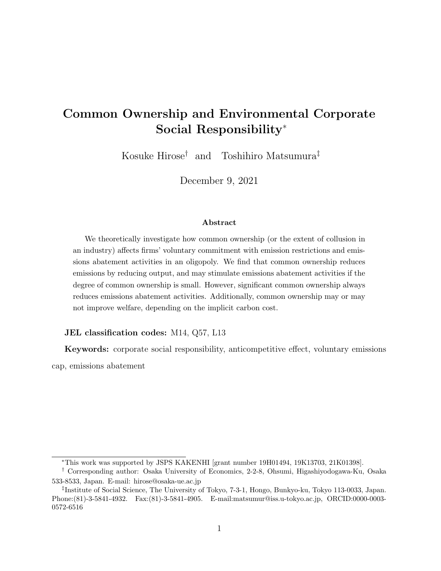# Common Ownership and Environmental Corporate Social Responsibility<sup>∗</sup>

Kosuke Hirose† and Toshihiro Matsumura‡

December 9, 2021

#### Abstract

We theoretically investigate how common ownership (or the extent of collusion in an industry) affects firms' voluntary commitment with emission restrictions and emissions abatement activities in an oligopoly. We find that common ownership reduces emissions by reducing output, and may stimulate emissions abatement activities if the degree of common ownership is small. However, significant common ownership always reduces emissions abatement activities. Additionally, common ownership may or may not improve welfare, depending on the implicit carbon cost.

#### JEL classification codes: M14, Q57, L13

Keywords: corporate social responsibility, anticompetitive effect, voluntary emissions cap, emissions abatement

<sup>∗</sup>This work was supported by JSPS KAKENHI [grant number 19H01494, 19K13703, 21K01398].

<sup>†</sup> Corresponding author: Osaka University of Economics, 2-2-8, Ohsumi, Higashiyodogawa-Ku, Osaka 533-8533, Japan. E-mail: hirose@osaka-ue.ac.jp

<sup>‡</sup> Institute of Social Science, The University of Tokyo, 7-3-1, Hongo, Bunkyo-ku, Tokyo 113-0033, Japan. Phone:(81)-3-5841-4932. Fax:(81)-3-5841-4905. E-mail:matsumur@iss.u-tokyo.ac.jp, ORCID:0000-0003- 0572-6516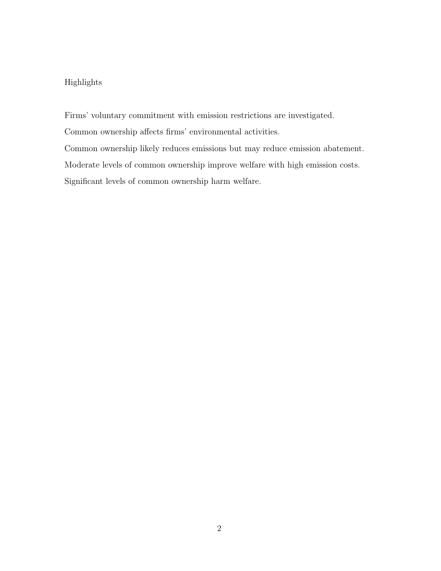#### Highlights

Firms' voluntary commitment with emission restrictions are investigated.

Common ownership affects firms' environmental activities.

Common ownership likely reduces emissions but may reduce emission abatement.

Moderate levels of common ownership improve welfare with high emission costs.

Significant levels of common ownership harm welfare.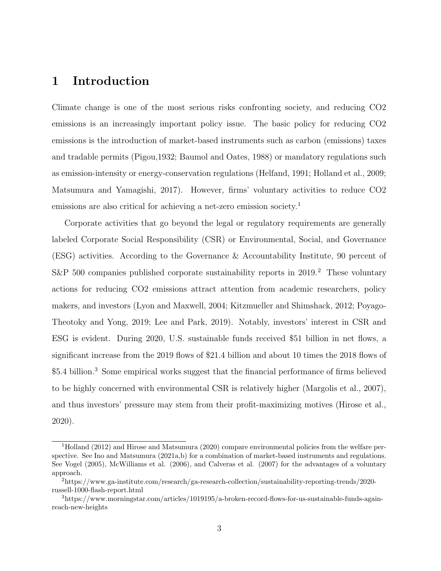### 1 Introduction

Climate change is one of the most serious risks confronting society, and reducing CO2 emissions is an increasingly important policy issue. The basic policy for reducing CO2 emissions is the introduction of market-based instruments such as carbon (emissions) taxes and tradable permits (Pigou,1932; Baumol and Oates, 1988) or mandatory regulations such as emission-intensity or energy-conservation regulations (Helfand, 1991; Holland et al., 2009; Matsumura and Yamagishi, 2017). However, firms' voluntary activities to reduce CO2 emissions are also critical for achieving a net-zero emission society.<sup>1</sup>

Corporate activities that go beyond the legal or regulatory requirements are generally labeled Corporate Social Responsibility (CSR) or Environmental, Social, and Governance (ESG) activities. According to the Governance & Accountability Institute, 90 percent of S&P 500 companies published corporate sustainability reports in  $2019.<sup>2</sup>$  These voluntary actions for reducing CO2 emissions attract attention from academic researchers, policy makers, and investors (Lyon and Maxwell, 2004; Kitzmueller and Shimshack, 2012; Poyago-Theotoky and Yong, 2019; Lee and Park, 2019). Notably, investors' interest in CSR and ESG is evident. During 2020, U.S. sustainable funds received \$51 billion in net flows, a significant increase from the 2019 flows of \$21.4 billion and about 10 times the 2018 flows of \$5.4 billion.<sup>3</sup> Some empirical works suggest that the financial performance of firms believed to be highly concerned with environmental CSR is relatively higher (Margolis et al., 2007), and thus investors' pressure may stem from their profit-maximizing motives (Hirose et al., 2020).

<sup>1</sup>Holland (2012) and Hirose and Matsumura (2020) compare environmental policies from the welfare perspective. See Ino and Matsumura (2021a,b) for a combination of market-based instruments and regulations. See Vogel (2005), McWilliams et al. (2006), and Calveras et al. (2007) for the advantages of a voluntary approach.

<sup>2</sup>https://www.ga-institute.com/research/ga-research-collection/sustainability-reporting-trends/2020 russell-1000-flash-report.html

<sup>3</sup>https://www.morningstar.com/articles/1019195/a-broken-record-flows-for-us-sustainable-funds-againreach-new-heights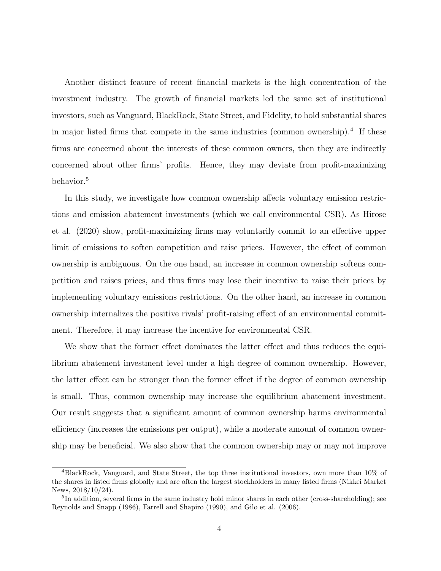Another distinct feature of recent financial markets is the high concentration of the investment industry. The growth of financial markets led the same set of institutional investors, such as Vanguard, BlackRock, State Street, and Fidelity, to hold substantial shares in major listed firms that compete in the same industries (common ownership).<sup>4</sup> If these firms are concerned about the interests of these common owners, then they are indirectly concerned about other firms' profits. Hence, they may deviate from profit-maximizing behavior.<sup>5</sup>

In this study, we investigate how common ownership affects voluntary emission restrictions and emission abatement investments (which we call environmental CSR). As Hirose et al. (2020) show, profit-maximizing firms may voluntarily commit to an effective upper limit of emissions to soften competition and raise prices. However, the effect of common ownership is ambiguous. On the one hand, an increase in common ownership softens competition and raises prices, and thus firms may lose their incentive to raise their prices by implementing voluntary emissions restrictions. On the other hand, an increase in common ownership internalizes the positive rivals' profit-raising effect of an environmental commitment. Therefore, it may increase the incentive for environmental CSR.

We show that the former effect dominates the latter effect and thus reduces the equilibrium abatement investment level under a high degree of common ownership. However, the latter effect can be stronger than the former effect if the degree of common ownership is small. Thus, common ownership may increase the equilibrium abatement investment. Our result suggests that a significant amount of common ownership harms environmental efficiency (increases the emissions per output), while a moderate amount of common ownership may be beneficial. We also show that the common ownership may or may not improve

<sup>4</sup>BlackRock, Vanguard, and State Street, the top three institutional investors, own more than 10% of the shares in listed firms globally and are often the largest stockholders in many listed firms (Nikkei Market News, 2018/10/24).

<sup>&</sup>lt;sup>5</sup>In addition, several firms in the same industry hold minor shares in each other (cross-shareholding); see Reynolds and Snapp (1986), Farrell and Shapiro (1990), and Gilo et al. (2006).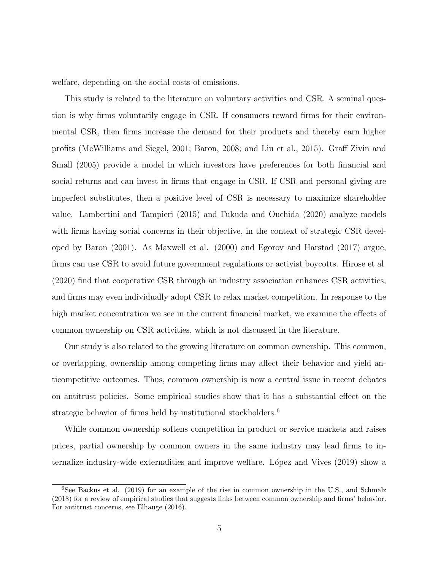welfare, depending on the social costs of emissions.

This study is related to the literature on voluntary activities and CSR. A seminal question is why firms voluntarily engage in CSR. If consumers reward firms for their environmental CSR, then firms increase the demand for their products and thereby earn higher profits (McWilliams and Siegel, 2001; Baron, 2008; and Liu et al., 2015). Graff Zivin and Small (2005) provide a model in which investors have preferences for both financial and social returns and can invest in firms that engage in CSR. If CSR and personal giving are imperfect substitutes, then a positive level of CSR is necessary to maximize shareholder value. Lambertini and Tampieri (2015) and Fukuda and Ouchida (2020) analyze models with firms having social concerns in their objective, in the context of strategic CSR developed by Baron (2001). As Maxwell et al. (2000) and Egorov and Harstad (2017) argue, firms can use CSR to avoid future government regulations or activist boycotts. Hirose et al. (2020) find that cooperative CSR through an industry association enhances CSR activities, and firms may even individually adopt CSR to relax market competition. In response to the high market concentration we see in the current financial market, we examine the effects of common ownership on CSR activities, which is not discussed in the literature.

Our study is also related to the growing literature on common ownership. This common, or overlapping, ownership among competing firms may affect their behavior and yield anticompetitive outcomes. Thus, common ownership is now a central issue in recent debates on antitrust policies. Some empirical studies show that it has a substantial effect on the strategic behavior of firms held by institutional stockholders.<sup>6</sup>

While common ownership softens competition in product or service markets and raises prices, partial ownership by common owners in the same industry may lead firms to internalize industry-wide externalities and improve welfare. López and Vives (2019) show a

 $6$ See Backus et al. (2019) for an example of the rise in common ownership in the U.S., and Schmalz (2018) for a review of empirical studies that suggests links between common ownership and firms' behavior. For antitrust concerns, see Elhauge (2016).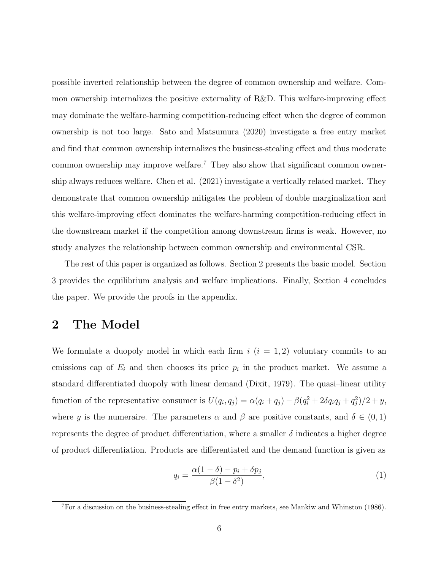possible inverted relationship between the degree of common ownership and welfare. Common ownership internalizes the positive externality of R&D. This welfare-improving effect may dominate the welfare-harming competition-reducing effect when the degree of common ownership is not too large. Sato and Matsumura (2020) investigate a free entry market and find that common ownership internalizes the business-stealing effect and thus moderate common ownership may improve welfare.<sup>7</sup> They also show that significant common ownership always reduces welfare. Chen et al. (2021) investigate a vertically related market. They demonstrate that common ownership mitigates the problem of double marginalization and this welfare-improving effect dominates the welfare-harming competition-reducing effect in the downstream market if the competition among downstream firms is weak. However, no study analyzes the relationship between common ownership and environmental CSR.

The rest of this paper is organized as follows. Section 2 presents the basic model. Section 3 provides the equilibrium analysis and welfare implications. Finally, Section 4 concludes the paper. We provide the proofs in the appendix.

#### 2 The Model

We formulate a duopoly model in which each firm  $i$   $(i = 1, 2)$  voluntary commits to an emissions cap of  $E_i$  and then chooses its price  $p_i$  in the product market. We assume a standard differentiated duopoly with linear demand (Dixit, 1979). The quasi–linear utility function of the representative consumer is  $U(q_i, q_j) = \alpha(q_i + q_j) - \beta(q_i^2 + 2\delta q_i q_j + q_j^2)$  $j^2/2+y,$ where y is the numeraire. The parameters  $\alpha$  and  $\beta$  are positive constants, and  $\delta \in (0,1)$ represents the degree of product differentiation, where a smaller  $\delta$  indicates a higher degree of product differentiation. Products are differentiated and the demand function is given as

$$
q_i = \frac{\alpha(1-\delta) - p_i + \delta p_j}{\beta(1-\delta^2)},\tag{1}
$$

<sup>7</sup>For a discussion on the business-stealing effect in free entry markets, see Mankiw and Whinston (1986).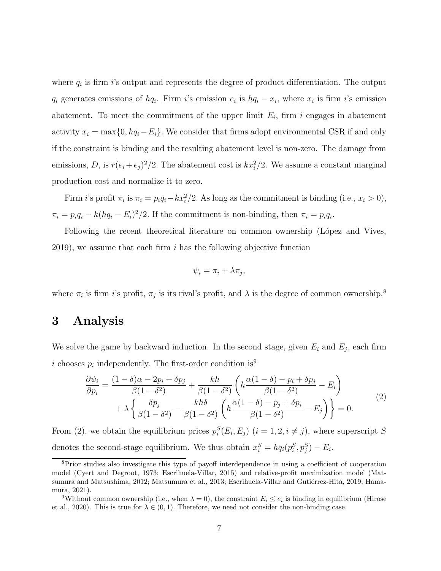where  $q_i$  is firm i's output and represents the degree of product differentiation. The output  $q_i$  generates emissions of  $hq_i$ . Firm i's emission  $e_i$  is  $hq_i - x_i$ , where  $x_i$  is firm i's emission abatement. To meet the commitment of the upper limit  $E_i$ , firm i engages in abatement activity  $x_i = \max\{0, hq_i - E_i\}$ . We consider that firms adopt environmental CSR if and only if the constraint is binding and the resulting abatement level is non-zero. The damage from emissions, D, is  $r(e_i + e_j)^2/2$ . The abatement cost is  $kx_i^2/2$ . We assume a constant marginal production cost and normalize it to zero.

Firm *i*'s profit  $\pi_i$  is  $\pi_i = p_i q_i - kx_i^2/2$ . As long as the commitment is binding (i.e.,  $x_i > 0$ ),  $\pi_i = p_i q_i - k(hq_i - E_i)^2/2$ . If the commitment is non-binding, then  $\pi_i = p_i q_i$ .

Following the recent theoretical literature on common ownership (López and Vives,  $2019$ , we assume that each firm i has the following objective function

$$
\psi_i = \pi_i + \lambda \pi_j,
$$

where  $\pi_i$  is firm *i*'s profit,  $\pi_j$  is its rival's profit, and  $\lambda$  is the degree of common ownership.<sup>8</sup>

#### 3 Analysis

We solve the game by backward induction. In the second stage, given  $E_i$  and  $E_j$ , each firm i chooses  $p_i$  independently. The first-order condition is<sup>9</sup>

$$
\frac{\partial \psi_i}{\partial p_i} = \frac{(1-\delta)\alpha - 2p_i + \delta p_j}{\beta(1-\delta^2)} + \frac{kh}{\beta(1-\delta^2)} \left( h \frac{\alpha(1-\delta) - p_i + \delta p_j}{\beta(1-\delta^2)} - E_i \right) + \lambda \left\{ \frac{\delta p_j}{\beta(1-\delta^2)} - \frac{kh\delta}{\beta(1-\delta^2)} \left( h \frac{\alpha(1-\delta) - p_j + \delta p_i}{\beta(1-\delta^2)} - E_j \right) \right\} = 0.
$$
\n(2)

From (2), we obtain the equilibrium prices  $p_i^S(E_i, E_j)$   $(i = 1, 2, i \neq j)$ , where superscript S denotes the second-stage equilibrium. We thus obtain  $x_i^S = h q_i(p_i^S, p_j^S) - E_i$ .

<sup>&</sup>lt;sup>8</sup>Prior studies also investigate this type of payoff interdependence in using a coefficient of cooperation model (Cyert and Degroot, 1973; Escrihuela-Villar, 2015) and relative-profit maximization model (Matsumura and Matsushima, 2012; Matsumura et al., 2013; Escrihuela-Villar and Gutiérrez-Hita, 2019; Hamamura, 2021).

<sup>&</sup>lt;sup>9</sup>Without common ownership (i.e., when  $\lambda = 0$ ), the constraint  $E_i \le e_i$  is binding in equilibrium (Hirose et al., 2020). This is true for  $\lambda \in (0,1)$ . Therefore, we need not consider the non-binding case.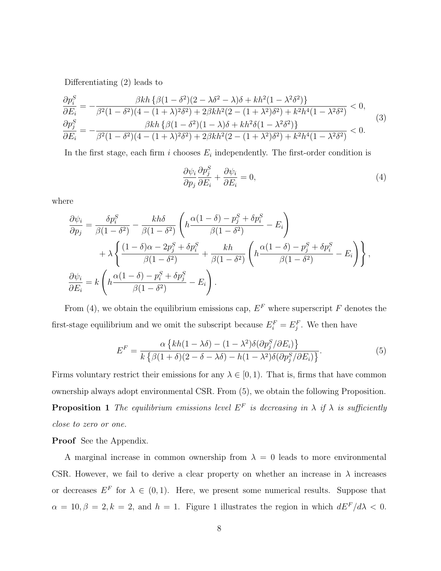Differentiating (2) leads to

$$
\frac{\partial p_i^S}{\partial E_i} = -\frac{\beta kh \left\{ \beta(1 - \delta^2)(2 - \lambda \delta^2 - \lambda)\delta + kh^2(1 - \lambda^2 \delta^2) \right\}}{\beta E_i} < 0, \n\frac{\partial p_j^S}{\partial E_i} = -\frac{\beta kh \left\{ \beta(1 - \delta^2)(4 - (1 + \lambda)^2 \delta^2) + 2\beta kh^2(2 - (1 + \lambda^2)\delta^2) + k^2h^4(1 - \lambda^2 \delta^2) \right\}}{\beta E_i} \n= -\frac{\beta kh \left\{ \beta(1 - \delta^2)(1 - \lambda)\delta + kh^2\delta(1 - \lambda^2 \delta^2) \right\}}{\beta E_i} < 0.
$$
\n(3)

In the first stage, each firm i chooses  $E_i$  independently. The first-order condition is

$$
\frac{\partial \psi_i}{\partial p_j} \frac{\partial p_j^S}{\partial E_i} + \frac{\partial \psi_i}{\partial E_i} = 0,
$$
\n(4)

where

$$
\frac{\partial \psi_i}{\partial p_j} = \frac{\delta p_i^S}{\beta (1 - \delta^2)} - \frac{k h \delta}{\beta (1 - \delta^2)} \left( h \frac{\alpha (1 - \delta) - p_j^S + \delta p_i^S}{\beta (1 - \delta^2)} - E_i \right) \n+ \lambda \left\{ \frac{(1 - \delta)\alpha - 2p_j^S + \delta p_i^S}{\beta (1 - \delta^2)} + \frac{k h}{\beta (1 - \delta^2)} \left( h \frac{\alpha (1 - \delta) - p_j^S + \delta p_i^S}{\beta (1 - \delta^2)} - E_i \right) \right\},
$$
\n
$$
\frac{\partial \psi_i}{\partial E_i} = k \left( h \frac{\alpha (1 - \delta) - p_i^S + \delta p_j^S}{\beta (1 - \delta^2)} - E_i \right).
$$

From (4), we obtain the equilibrium emissions cap,  $E<sup>F</sup>$  where superscript F denotes the first-stage equilibrium and we omit the subscript because  $E_i^F = E_j^F$ . We then have

$$
E^{F} = \frac{\alpha \left\{ kh(1 - \lambda \delta) - (1 - \lambda^{2})\delta(\partial p_{j}^{S}/\partial E_{i}) \right\}}{k \left\{ \beta(1 + \delta)(2 - \delta - \lambda \delta) - h(1 - \lambda^{2})\delta(\partial p_{j}^{S}/\partial E_{i}) \right\}}.
$$
\n(5)

Firms voluntary restrict their emissions for any  $\lambda \in [0,1)$ . That is, firms that have common ownership always adopt environmental CSR. From (5), we obtain the following Proposition. **Proposition 1** The equilibrium emissions level  $E^F$  is decreasing in  $\lambda$  if  $\lambda$  is sufficiently close to zero or one.

Proof See the Appendix.

A marginal increase in common ownership from  $\lambda = 0$  leads to more environmental CSR. However, we fail to derive a clear property on whether an increase in  $\lambda$  increases or decreases  $E^F$  for  $\lambda \in (0,1)$ . Here, we present some numerical results. Suppose that  $\alpha = 10, \beta = 2, k = 2$ , and  $h = 1$ . Figure 1 illustrates the region in which  $dE^F/d\lambda < 0$ .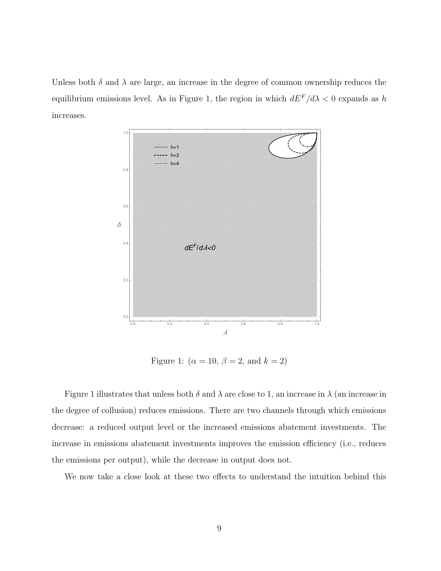Unless both  $\delta$  and  $\lambda$  are large, an increase in the degree of common ownership reduces the equilibrium emissions level. As in Figure 1, the region in which  $dE<sup>F</sup>/d\lambda < 0$  expands as h increases.



Figure 1:  $(\alpha = 10, \beta = 2, \text{ and } k = 2)$ 

Figure 1 illustrates that unless both  $\delta$  and  $\lambda$  are close to 1, an increase in  $\lambda$  (an increase in the degree of collusion) reduces emissions. There are two channels through which emissions decrease: a reduced output level or the increased emissions abatement investments. The increase in emissions abatement investments improves the emission efficiency (i.e., reduces the emissions per output), while the decrease in output does not.

We now take a close look at these two effects to understand the intuition behind this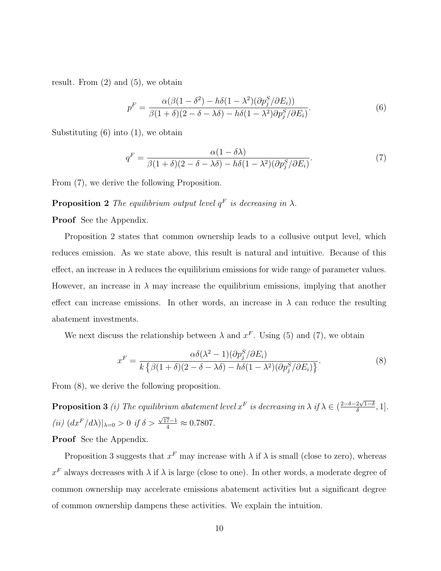result. From  $(2)$  and  $(5)$ , we obtain

$$
p^{F} = \frac{\alpha(\beta(1-\delta^{2}) - h\delta(1-\lambda^{2})(\partial p_{j}^{S}/\partial E_{i}))}{\beta(1+\delta)(2-\delta-\lambda\delta) - h\delta(1-\lambda^{2})\partial p_{j}^{S}/\partial E_{i})}.
$$
\n(6)

Substituting  $(6)$  into  $(1)$ , we obtain

$$
q^{F} = \frac{\alpha(1 - \delta\lambda)}{\beta(1 + \delta)(2 - \delta - \lambda\delta) - h\delta(1 - \lambda^{2})(\partial p_{j}^{S}/\partial E_{i})}.
$$
\n(7)

From (7), we derive the following Proposition.

#### **Proposition 2** The equilibrium output level  $q^F$  is decreasing in  $\lambda$ .

Proof See the Appendix.

Proposition 2 states that common ownership leads to a collusive output level, which reduces emission. As we state above, this result is natural and intuitive. Because of this effect, an increase in  $\lambda$  reduces the equilibrium emissions for wide range of parameter values. However, an increase in  $\lambda$  may increase the equilibrium emissions, implying that another effect can increase emissions. In other words, an increase in  $\lambda$  can reduce the resulting abatement investments.

We next discuss the relationship between  $\lambda$  and  $x^F$ . Using (5) and (7), we obtain

$$
x^{F} = \frac{\alpha \delta(\lambda^{2} - 1)(\partial p_{j}^{S}/\partial E_{i})}{k \left\{\beta(1 + \delta)(2 - \delta - \lambda \delta) - h\delta(1 - \lambda^{2})(\partial p_{j}^{S}/\partial E_{i})\right\}}.
$$
\n(8)

From (8), we derive the following proposition.

**Proposition 3** (i) The equilibrium abatement level  $x^F$  is decreasing in  $\lambda$  if  $\lambda \in (\frac{2-\delta-2\sqrt{1-\delta}}{\delta}, 1]$ . (*ii*)  $\left( dx^F/d\lambda \right) |_{\lambda=0} > 0$  *if*  $\delta > \frac{\sqrt{17}-1}{4} \approx 0.7807$ .

Proof See the Appendix.

Proposition 3 suggests that  $x^F$  may increase with  $\lambda$  if  $\lambda$  is small (close to zero), whereas  $x^F$  always decreases with  $\lambda$  if  $\lambda$  is large (close to one). In other words, a moderate degree of common ownership may accelerate emissions abatement activities but a significant degree of common ownership dampens these activities. We explain the intuition.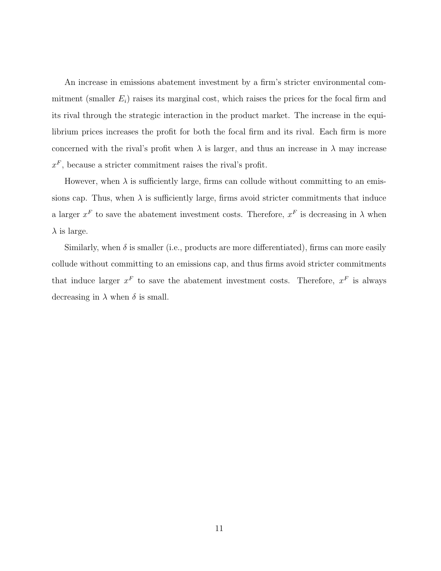An increase in emissions abatement investment by a firm's stricter environmental commitment (smaller  $E_i$ ) raises its marginal cost, which raises the prices for the focal firm and its rival through the strategic interaction in the product market. The increase in the equilibrium prices increases the profit for both the focal firm and its rival. Each firm is more concerned with the rival's profit when  $\lambda$  is larger, and thus an increase in  $\lambda$  may increase  $x^F$ , because a stricter commitment raises the rival's profit.

However, when  $\lambda$  is sufficiently large, firms can collude without committing to an emissions cap. Thus, when  $\lambda$  is sufficiently large, firms avoid stricter commitments that induce a larger  $x^F$  to save the abatement investment costs. Therefore,  $x^F$  is decreasing in  $\lambda$  when  $\lambda$  is large.

Similarly, when  $\delta$  is smaller (i.e., products are more differentiated), firms can more easily collude without committing to an emissions cap, and thus firms avoid stricter commitments that induce larger  $x^F$  to save the abatement investment costs. Therefore,  $x^F$  is always decreasing in  $\lambda$  when  $\delta$  is small.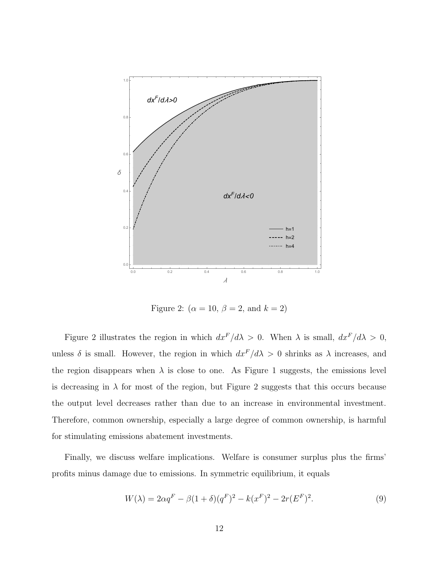

Figure 2:  $(\alpha = 10, \beta = 2, \text{ and } k = 2)$ 

Figure 2 illustrates the region in which  $dx^F/d\lambda > 0$ . When  $\lambda$  is small,  $dx^F/d\lambda > 0$ , unless  $\delta$  is small. However, the region in which  $dx^F/d\lambda > 0$  shrinks as  $\lambda$  increases, and the region disappears when  $\lambda$  is close to one. As Figure 1 suggests, the emissions level is decreasing in  $\lambda$  for most of the region, but Figure 2 suggests that this occurs because the output level decreases rather than due to an increase in environmental investment. Therefore, common ownership, especially a large degree of common ownership, is harmful for stimulating emissions abatement investments.

Finally, we discuss welfare implications. Welfare is consumer surplus plus the firms' profits minus damage due to emissions. In symmetric equilibrium, it equals

$$
W(\lambda) = 2\alpha q^F - \beta (1+\delta)(q^F)^2 - k(x^F)^2 - 2r(E^F)^2.
$$
\n(9)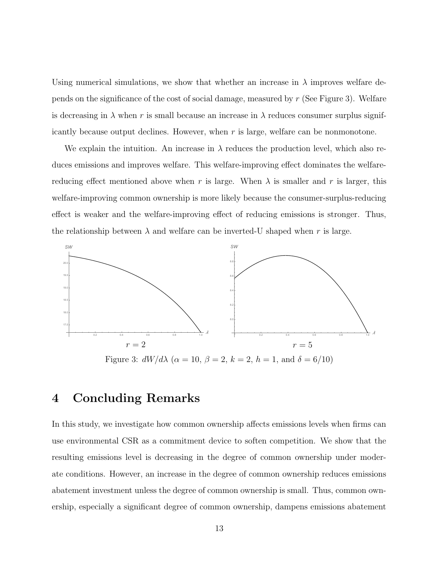Using numerical simulations, we show that whether an increase in  $\lambda$  improves welfare depends on the significance of the cost of social damage, measured by r (See Figure 3). Welfare is decreasing in  $\lambda$  when r is small because an increase in  $\lambda$  reduces consumer surplus significantly because output declines. However, when  $r$  is large, welfare can be nonmonotone.

We explain the intuition. An increase in  $\lambda$  reduces the production level, which also reduces emissions and improves welfare. This welfare-improving effect dominates the welfarereducing effect mentioned above when r is large. When  $\lambda$  is smaller and r is larger, this welfare-improving common ownership is more likely because the consumer-surplus-reducing effect is weaker and the welfare-improving effect of reducing emissions is stronger. Thus, the relationship between  $\lambda$  and welfare can be inverted-U shaped when r is large.



Figure 3:  $dW/d\lambda$  ( $\alpha = 10, \beta = 2, k = 2, h = 1, \text{ and } \delta = 6/10$ )

### 4 Concluding Remarks

In this study, we investigate how common ownership affects emissions levels when firms can use environmental CSR as a commitment device to soften competition. We show that the resulting emissions level is decreasing in the degree of common ownership under moderate conditions. However, an increase in the degree of common ownership reduces emissions abatement investment unless the degree of common ownership is small. Thus, common ownership, especially a significant degree of common ownership, dampens emissions abatement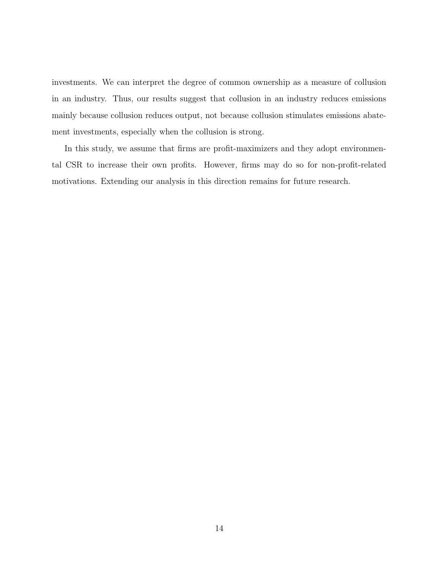investments. We can interpret the degree of common ownership as a measure of collusion in an industry. Thus, our results suggest that collusion in an industry reduces emissions mainly because collusion reduces output, not because collusion stimulates emissions abatement investments, especially when the collusion is strong.

In this study, we assume that firms are profit-maximizers and they adopt environmental CSR to increase their own profits. However, firms may do so for non-profit-related motivations. Extending our analysis in this direction remains for future research.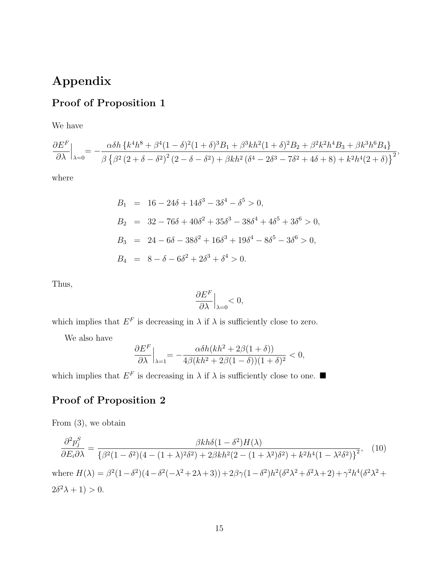## Appendix

# Proof of Proposition 1

We have

$$
\frac{\partial E^{F}}{\partial\lambda}\Big|_{\lambda=0}=-\frac{\alpha\delta h\left\{k^{4}h^{8}+\beta^{4}(1-\delta)^{2}(1+\delta)^{3}B_{1}+\beta^{3}kh^{2}(1+\delta)^{2}B_{2}+\beta^{2}k^{2}h^{4}B_{3}+\beta k^{3}h^{6}B_{4}\right\}}{\beta\left\{\beta^{2}\left(2+\delta-\delta^{2}\right)^{2}\left(2-\delta-\delta^{2}\right)+\beta kh^{2}\left(\delta^{4}-2\delta^{3}-7\delta^{2}+4\delta+8\right)+k^{2}h^{4}(2+\delta)\right\}^{2}},
$$

where

$$
B_1 = 16 - 24\delta + 14\delta^3 - 3\delta^4 - \delta^5 > 0,
$$
  
\n
$$
B_2 = 32 - 76\delta + 40\delta^2 + 35\delta^3 - 38\delta^4 + 4\delta^5 + 3\delta^6 > 0,
$$
  
\n
$$
B_3 = 24 - 6\delta - 38\delta^2 + 16\delta^3 + 19\delta^4 - 8\delta^5 - 3\delta^6 > 0,
$$
  
\n
$$
B_4 = 8 - \delta - 6\delta^2 + 2\delta^3 + \delta^4 > 0.
$$

Thus,

$$
\left. \frac{\partial E^F}{\partial \lambda} \right|_{\lambda=0} < 0,
$$

which implies that  $E^F$  is decreasing in  $\lambda$  if  $\lambda$  is sufficiently close to zero.

We also have

$$
\frac{\partial E^F}{\partial \lambda}\Big|_{\lambda=1}=-\frac{\alpha\delta h(kh^2+2\beta(1+\delta))}{4\beta(kh^2+2\beta(1-\delta))(1+\delta)^2}<0,
$$

which implies that  $E^F$  is decreasing in  $\lambda$  if  $\lambda$  is sufficiently close to one.

### Proof of Proposition 2

From (3), we obtain

$$
\frac{\partial^2 p_j^S}{\partial E_i \partial \lambda} = \frac{\beta k h \delta (1 - \delta^2) H(\lambda)}{\{\beta^2 (1 - \delta^2)(4 - (1 + \lambda)^2 \delta^2) + 2\beta k h^2 (2 - (1 + \lambda^2) \delta^2) + k^2 h^4 (1 - \lambda^2 \delta^2)\}}^2, \quad (10)
$$
\nwhere  $H(\lambda) = \beta^2 (1 - \delta^2)(4 - \delta^2(-\lambda^2 + 2\lambda + 3)) + 2\beta \gamma (1 - \delta^2) h^2 (\delta^2 \lambda^2 + \delta^2 \lambda + 2) + \gamma^2 h^4 (\delta^2 \lambda^2 + 2\delta^2 \lambda + 1) > 0.$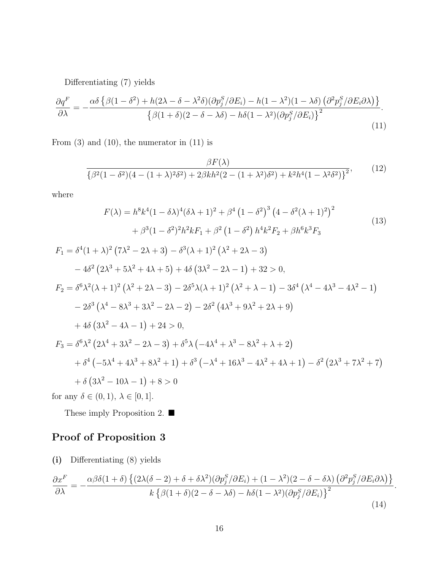Differentiating (7) yields

$$
\frac{\partial q^F}{\partial \lambda} = -\frac{\alpha \delta \left\{ \beta (1 - \delta^2) + h(2\lambda - \delta - \lambda^2 \delta)(\partial p_j^S / \partial E_i) - h(1 - \lambda^2)(1 - \lambda \delta) \left( \partial^2 p_j^S / \partial E_i \partial \lambda \right) \right\}}{\left\{ \beta (1 + \delta)(2 - \delta - \lambda \delta) - h \delta (1 - \lambda^2)(\partial p_j^S / \partial E_i) \right\}^2}.
$$
\n(11)

From  $(3)$  and  $(10)$ , the numerator in  $(11)$  is

$$
\frac{\beta F(\lambda)}{\left\{\beta^2(1-\delta^2)(4-(1+\lambda)^2\delta^2)+2\beta kh^2(2-(1+\lambda^2)\delta^2)+k^2h^4(1-\lambda^2\delta^2)\right\}^2},\qquad(12)
$$

where

$$
F(\lambda) = h^8 k^4 (1 - \delta \lambda)^4 (\delta \lambda + 1)^2 + \beta^4 (1 - \delta^2)^3 (4 - \delta^2 (\lambda + 1)^2)^2
$$
  
+  $\beta^3 (1 - \delta^2)^2 h^2 k F_1 + \beta^2 (1 - \delta^2) h^4 k^2 F_2 + \beta h^6 k^3 F_3$   

$$
F_1 = \delta^4 (1 + \lambda)^2 (7\lambda^2 - 2\lambda + 3) - \delta^3 (\lambda + 1)^2 (\lambda^2 + 2\lambda - 3)
$$
  
-  $4\delta^2 (2\lambda^3 + 5\lambda^2 + 4\lambda + 5) + 4\delta (3\lambda^2 - 2\lambda - 1) + 32 > 0,$   

$$
F_2 = \delta^6 \lambda^2 (\lambda + 1)^2 (\lambda^2 + 2\lambda - 3) - 2\delta^5 \lambda (\lambda + 1)^2 (\lambda^2 + \lambda - 1) - 3\delta^4 (\lambda^4 - 4\lambda^3 - 4\lambda^2 - 1)
$$
  
-  $2\delta^3 (\lambda^4 - 8\lambda^3 + 3\lambda^2 - 2\lambda - 2) - 2\delta^2 (4\lambda^3 + 9\lambda^2 + 2\lambda + 9)$   
+  $4\delta (3\lambda^2 - 4\lambda - 1) + 24 > 0,$   

$$
F_3 = \delta^6 \lambda^2 (2\lambda^4 + 3\lambda^2 - 2\lambda - 3) + \delta^5 \lambda (-4\lambda^4 + \lambda^3 - 8\lambda^2 + \lambda + 2)
$$
  
+  $\delta^4 (-5\lambda^4 + 4\lambda^3 + 8\lambda^2 + 1) + \delta^3 (-\lambda^4 + 16\lambda^3 - 4\lambda^2 + 4\lambda + 1) - \delta^2 (2\lambda^3 + 7\lambda^2 + 7)$   
+  $\delta (3\lambda^2 - 10\lambda - 1) + 8 > 0$   
for any  $\delta \in (0, 1)$ ,  $\lambda \in [0, 1]$ .

These imply Proposition 2. ■

### Proof of Proposition 3

(i) Differentiating (8) yields

$$
\frac{\partial x^F}{\partial \lambda} = -\frac{\alpha \beta \delta (1+\delta) \left\{ (2\lambda(\delta-2) + \delta + \delta \lambda^2)(\partial p_j^S / \partial E_i) + (1-\lambda^2)(2-\delta - \delta \lambda) \left( \partial^2 p_j^S / \partial E_i \partial \lambda \right) \right\}}{k \left\{ \beta (1+\delta)(2-\delta-\lambda \delta) - h \delta (1-\lambda^2)(\partial p_j^S / \partial E_i) \right\}^2}.
$$
\n(14)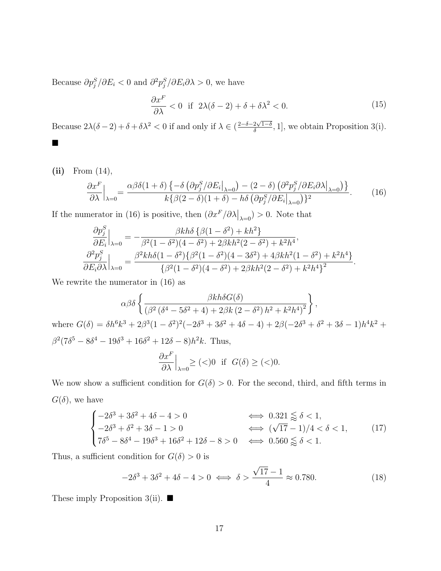Because  $\partial p_j^S / \partial E_i < 0$  and  $\partial^2 p_j^S / \partial E_i \partial \lambda > 0$ , we have

$$
\frac{\partial x^F}{\partial \lambda} < 0 \quad \text{if} \quad 2\lambda(\delta - 2) + \delta + \delta\lambda^2 < 0. \tag{15}
$$

Because  $2\lambda(\delta-2)+\delta+\delta\lambda^2 < 0$  if and only if  $\lambda \in (\frac{2-\delta-2\sqrt{1-\delta}}{\delta}, 1]$ , we obtain Proposition 3(i). ■

(ii) From (14),  
\n
$$
\frac{\partial x^F}{\partial \lambda}\Big|_{\lambda=0} = \frac{\alpha \beta \delta (1+\delta) \left\{-\delta \left(\partial p_j^S / \partial E_i\big|_{\lambda=0}\right) - (2-\delta) \left(\partial^2 p_j^S / \partial E_i \partial \lambda\big|_{\lambda=0}\right)\right\}}{k \left\{\beta (2-\delta) (1+\delta) - h \delta \left(\partial p_j^S / \partial E_i\big|_{\lambda=0}\right)\right\}^2}.
$$
\n(16)

If the numerator in (16) is positive, then  $(\partial x^F/\partial \lambda|_{\lambda=0}) > 0$ . Note that

$$
\frac{\partial p_j^S}{\partial E_i}\Big|_{\lambda=0} = -\frac{\beta kh\delta \left\{\beta(1-\delta^2) + kh^2\right\}}{\beta^2(1-\delta^2)(4-\delta^2) + 2\beta kh^2(2-\delta^2) + k^2h^4},
$$
  

$$
\frac{\partial^2 p_j^S}{\partial E_i \partial \lambda}\Big|_{\lambda=0} = \frac{\beta^2kh\delta(1-\delta^2)\{\beta^2(1-\delta^2)(4-3\delta^2) + 4\beta kh^2(1-\delta^2) + k^2h^4\}}{\{\beta^2(1-\delta^2)(4-\delta^2) + 2\beta kh^2(2-\delta^2) + k^2h^4\}^2}.
$$

We rewrite the numerator in (16) as

$$
\alpha \beta \delta \left\{ \frac{\beta k h \delta G(\delta)}{(\beta^2 (\delta^4 - 5\delta^2 + 4) + 2\beta k (2 - \delta^2) h^2 + k^2 h^4)^2} \right\},\
$$
  
where  $G(\delta) = \delta h^6 k^3 + 2\beta^3 (1 - \delta^2)^2 (-2\delta^3 + 3\delta^2 + 4\delta - 4) + 2\beta (-2\delta^3 + \delta^2 + 3\delta - 1) h^4 k^2 +$   
 $\beta^2 (7\delta^5 - 8\delta^4 - 19\delta^3 + 16\delta^2 + 12\delta - 8) h^2 k$ . Thus,  

$$
\frac{\partial x^F}{\partial \lambda} \Big|_{\lambda=0} \ge (\langle 0 \text{ if } G(\delta) \ge (\langle 0 \text{.}
$$

We now show a sufficient condition for  $G(\delta) > 0$ . For the second, third, and fifth terms in  $G(\delta)$ , we have

$$
\begin{cases}\n-2\delta^3 + 3\delta^2 + 4\delta - 4 > 0 \\
-2\delta^3 + \delta^2 + 3\delta - 1 > 0 \\
7\delta^5 - 8\delta^4 - 19\delta^3 + 16\delta^2 + 12\delta - 8 > 0\n\end{cases}\n\iff \begin{aligned}\n0.321 &\leq \delta < 1, \\
(\sqrt{17} - 1)/4 < \delta < 1,\n\end{aligned}
$$
\n
$$
(17)
$$

Thus, a sufficient condition for  $G(\delta) > 0$  is

$$
-2\delta^3 + 3\delta^2 + 4\delta - 4 > 0 \iff \delta > \frac{\sqrt{17} - 1}{4} \approx 0.780.
$$
 (18)

These imply Proposition 3(ii).  $\blacksquare$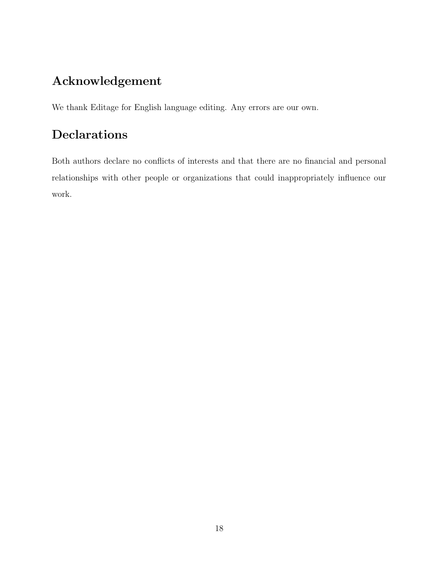## Acknowledgement

We thank Editage for English language editing. Any errors are our own.

# Declarations

Both authors declare no conflicts of interests and that there are no financial and personal relationships with other people or organizations that could inappropriately influence our work.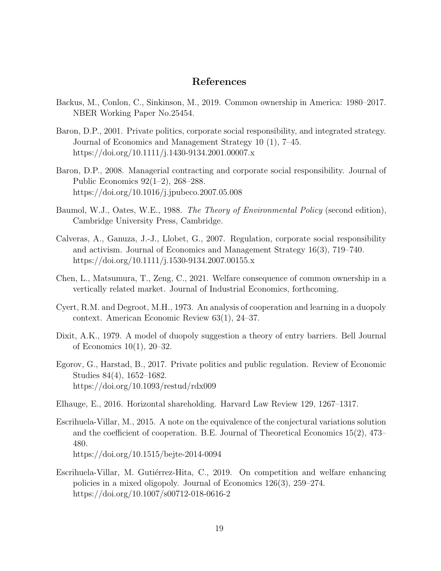#### References

- Backus, M., Conlon, C., Sinkinson, M., 2019. Common ownership in America: 1980–2017. NBER Working Paper No.25454.
- Baron, D.P., 2001. Private politics, corporate social responsibility, and integrated strategy. Journal of Economics and Management Strategy 10 (1), 7–45. https://doi.org/10.1111/j.1430-9134.2001.00007.x
- Baron, D.P., 2008. Managerial contracting and corporate social responsibility. Journal of Public Economics 92(1–2), 268–288. https://doi.org/10.1016/j.jpubeco.2007.05.008
- Baumol, W.J., Oates, W.E., 1988. The Theory of Environmental Policy (second edition), Cambridge University Press, Cambridge.
- Calveras, A., Ganuza, J.-J., Llobet, G., 2007. Regulation, corporate social responsibility and activism. Journal of Economics and Management Strategy 16(3), 719–740. https://doi.org/10.1111/j.1530-9134.2007.00155.x
- Chen, L., Matsumura, T., Zeng, C., 2021. Welfare consequence of common ownership in a vertically related market. Journal of Industrial Economics, forthcoming.
- Cyert, R.M. and Degroot, M.H., 1973. An analysis of cooperation and learning in a duopoly context. American Economic Review 63(1), 24–37.
- Dixit, A.K., 1979. A model of duopoly suggestion a theory of entry barriers. Bell Journal of Economics 10(1), 20–32.
- Egorov, G., Harstad, B., 2017. Private politics and public regulation. Review of Economic Studies 84(4), 1652–1682. https://doi.org/10.1093/restud/rdx009
- Elhauge, E., 2016. Horizontal shareholding. Harvard Law Review 129, 1267–1317.
- Escrihuela-Villar, M., 2015. A note on the equivalence of the conjectural variations solution and the coefficient of cooperation. B.E. Journal of Theoretical Economics 15(2), 473– 480. https://doi.org/10.1515/bejte-2014-0094
- Escrihuela-Villar, M. Gutiérrez-Hita, C., 2019. On competition and welfare enhancing policies in a mixed oligopoly. Journal of Economics 126(3), 259–274. https://doi.org/10.1007/s00712-018-0616-2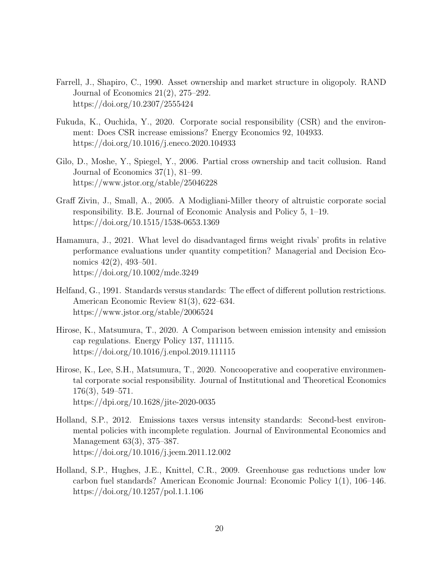- Farrell, J., Shapiro, C., 1990. Asset ownership and market structure in oligopoly. RAND Journal of Economics 21(2), 275–292. https://doi.org/10.2307/2555424
- Fukuda, K., Ouchida, Y., 2020. Corporate social responsibility (CSR) and the environment: Does CSR increase emissions? Energy Economics 92, 104933. https://doi.org/10.1016/j.eneco.2020.104933
- Gilo, D., Moshe, Y., Spiegel, Y., 2006. Partial cross ownership and tacit collusion. Rand Journal of Economics 37(1), 81–99. https://www.jstor.org/stable/25046228
- Graff Zivin, J., Small, A., 2005. A Modigliani-Miller theory of altruistic corporate social responsibility. B.E. Journal of Economic Analysis and Policy 5, 1–19. https://doi.org/10.1515/1538-0653.1369
- Hamamura, J., 2021. What level do disadvantaged firms weight rivals' profits in relative performance evaluations under quantity competition? Managerial and Decision Economics 42(2), 493–501. https://doi.org/10.1002/mde.3249
- Helfand, G., 1991. Standards versus standards: The effect of different pollution restrictions. American Economic Review 81(3), 622–634. https://www.jstor.org/stable/2006524
- Hirose, K., Matsumura, T., 2020. A Comparison between emission intensity and emission cap regulations. Energy Policy 137, 111115. https://doi.org/10.1016/j.enpol.2019.111115
- Hirose, K., Lee, S.H., Matsumura, T., 2020. Noncooperative and cooperative environmental corporate social responsibility. Journal of Institutional and Theoretical Economics 176(3), 549–571. https://dpi.org/10.1628/jite-2020-0035
- Holland, S.P., 2012. Emissions taxes versus intensity standards: Second-best environmental policies with incomplete regulation. Journal of Environmental Economics and Management 63(3), 375–387. https://doi.org/10.1016/j.jeem.2011.12.002
- Holland, S.P., Hughes, J.E., Knittel, C.R., 2009. Greenhouse gas reductions under low carbon fuel standards? American Economic Journal: Economic Policy 1(1), 106–146. https://doi.org/10.1257/pol.1.1.106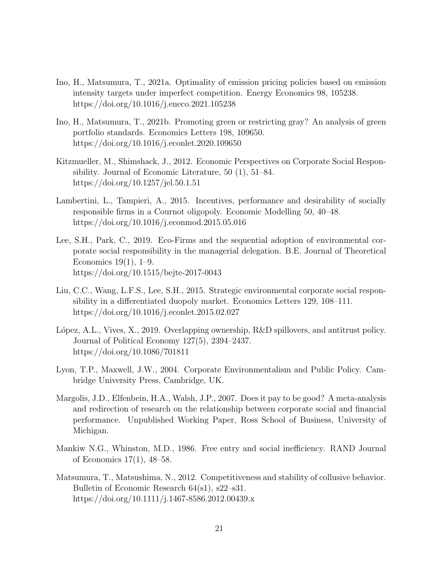- Ino, H., Matsumura, T., 2021a. Optimality of emission pricing policies based on emission intensity targets under imperfect competition. Energy Economics 98, 105238. https://doi.org/10.1016/j.eneco.2021.105238
- Ino, H., Matsumura, T., 2021b. Promoting green or restricting gray? An analysis of green portfolio standards. Economics Letters 198, 109650. https://doi.org/10.1016/j.econlet.2020.109650
- Kitzmueller, M., Shimshack, J., 2012. Economic Perspectives on Corporate Social Responsibility. Journal of Economic Literature, 50 (1), 51–84. https://doi.org/10.1257/jel.50.1.51
- Lambertini, L., Tampieri, A., 2015. Incentives, performance and desirability of socially responsible firms in a Cournot oligopoly. Economic Modelling 50, 40–48. https://doi.org/10.1016/j.econmod.2015.05.016
- Lee, S.H., Park, C., 2019. Eco-Firms and the sequential adoption of environmental corporate social responsibility in the managerial delegation. B.E. Journal of Theoretical Economics 19(1), 1–9. https://doi.org/10.1515/bejte-2017-0043
- Liu, C.C., Wang, L.F.S., Lee, S.H., 2015. Strategic environmental corporate social responsibility in a differentiated duopoly market. Economics Letters 129, 108–111. https://doi.org/10.1016/j.econlet.2015.02.027
- López, A.L., Vives, X., 2019. Overlapping ownership, R&D spillovers, and antitrust policy. Journal of Political Economy 127(5), 2394–2437. https://doi.org/10.1086/701811
- Lyon, T.P., Maxwell, J.W., 2004. Corporate Environmentalism and Public Policy. Cambridge University Press, Cambridge, UK.
- Margolis, J.D., Elfenbein, H.A., Walsh, J.P., 2007. Does it pay to be good? A meta-analysis and redirection of research on the relationship between corporate social and financial performance. Unpublished Working Paper, Ross School of Business, University of Michigan.
- Mankiw N.G., Whinston, M.D., 1986. Free entry and social inefficiency. RAND Journal of Economics 17(1), 48–58.
- Matsumura, T., Matsushima, N., 2012. Competitiveness and stability of collusive behavior. Bulletin of Economic Research 64(s1), s22–s31. https://doi.org/10.1111/j.1467-8586.2012.00439.x